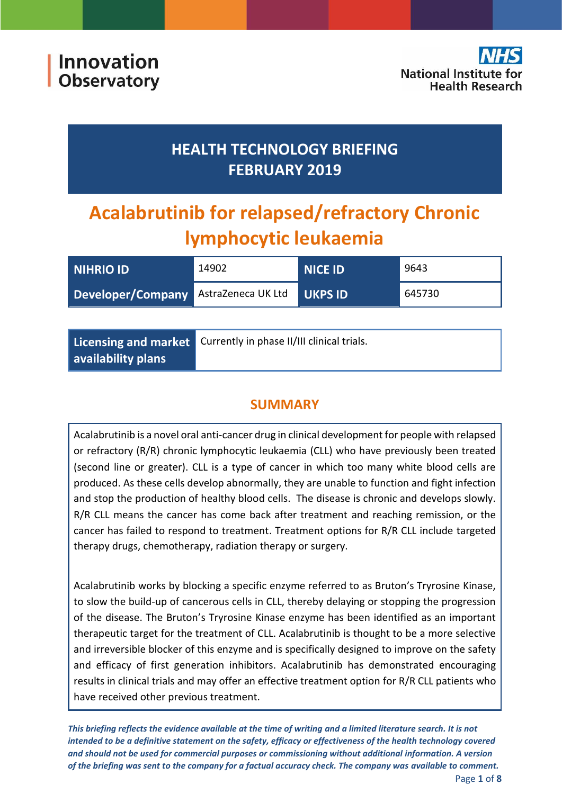# **HEALTH TECHNOLOGY BRIEFING FEBRUARY 2019**

# **Acalabrutinib for relapsed/refractory Chronic lymphocytic leukaemia**

| <b>NIHRIO ID</b>                            | 14902 | <b>NICE ID</b> | 9643   |
|---------------------------------------------|-------|----------------|--------|
| <b>Developer/Company AstraZeneca UK Ltd</b> |       | <b>UKPS ID</b> | 645730 |

|                    | Licensing and market Currently in phase II/III clinical trials. |
|--------------------|-----------------------------------------------------------------|
| availability plans |                                                                 |

# **SUMMARY**

Acalabrutinib is a novel oral anti-cancer drug in clinical development for people with relapsed or refractory (R/R) chronic lymphocytic leukaemia (CLL) who have previously been treated (second line or greater). CLL is a type of cancer in which too many white blood cells are produced. As these cells develop abnormally, they are unable to function and fight infection and stop the production of healthy blood cells. The disease is chronic and develops slowly. R/R CLL means the cancer has come back after treatment and reaching remission, or the cancer has failed to respond to treatment. Treatment options for R/R CLL include targeted therapy drugs, chemotherapy, radiation therapy or surgery.

Acalabrutinib works by blocking a specific enzyme referred to as Bruton's Tryrosine Kinase, to slow the build-up of cancerous cells in CLL, thereby delaying or stopping the progression of the disease. The Bruton's Tryrosine Kinase enzyme has been identified as an important therapeutic target for the treatment of CLL. Acalabrutinib is thought to be a more selective and irreversible blocker of this enzyme and is specifically designed to improve on the safety and efficacy of first generation inhibitors. Acalabrutinib has demonstrated encouraging results in clinical trials and may offer an effective treatment option for R/R CLL patients who have received other previous treatment.

*This briefing reflects the evidence available at the time of writing and a limited literature search. It is not intended to be a definitive statement on the safety, efficacy or effectiveness of the health technology covered and should not be used for commercial purposes or commissioning without additional information. A version of the briefing was sent to the company for a factual accuracy check. The company was available to comment.*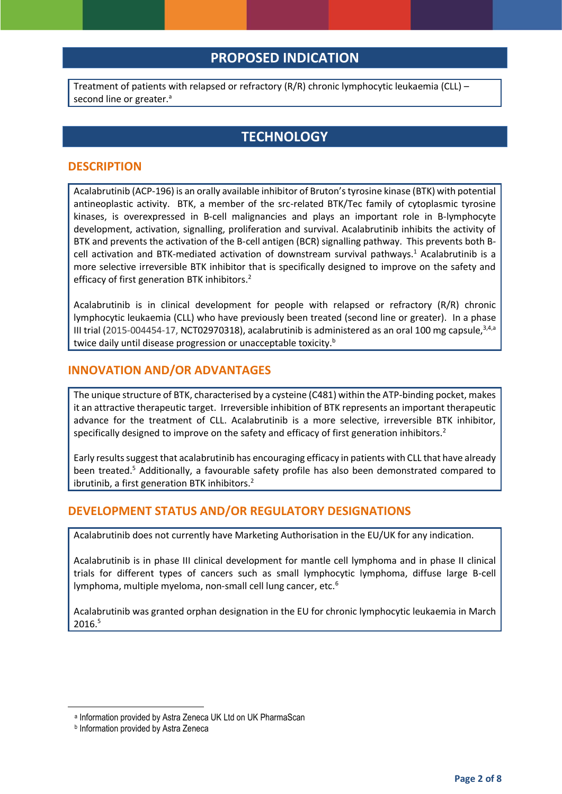## **PROPOSED INDICATION**

Treatment of patients with relapsed or refractory (R/R) chronic lymphocytic leukaemia (CLL) – second line or greater.<sup>a</sup>

## **TECHNOLOGY**

#### **DESCRIPTION**

Acalabrutinib (ACP-196) is an orally available inhibitor of Bruton's tyrosine kinase (BTK) with potential antineoplastic activity. BTK, a member of the src-related BTK/Tec family of cytoplasmic tyrosine kinases, is overexpressed in B-cell malignancies and plays an important role in B-lymphocyte development, activation, signalling, proliferation and survival. Acalabrutinib inhibits the activity of BTK and prevents the activation of the B-cell antigen (BCR) signalling pathway. This prevents both Bcell activation and BTK-mediated activation of downstream survival pathways.<sup>1</sup> Acalabrutinib is a more selective irreversible BTK inhibitor that is specifically designed to improve on the safety and efficacy of first generation BTK inhibitors.<sup>2</sup>

Acalabrutinib is in clinical development for people with relapsed or refractory (R/R) chronic lymphocytic leukaemia (CLL) who have previously been treated (second line or greater). In a phase III trial (2015-004454-17, NCT02970318), acalabrutinib is administered as an oral 100 mg capsule,  $3,4,8$ twice daily until disease progression or unacceptable toxicity.<sup>b</sup>

#### **INNOVATION AND/OR ADVANTAGES**

The unique structure of BTK, characterised by a cysteine (C481) within the ATP-binding pocket, makes it an attractive therapeutic target. Irreversible inhibition of BTK represents an important therapeutic advance for the treatment of CLL. Acalabrutinib is a more selective, irreversible BTK inhibitor, specifically designed to improve on the safety and efficacy of first generation inhibitors.<sup>2</sup>

Early results suggest that acalabrutinib has encouraging efficacy in patients with CLL that have already been treated. <sup>5</sup> Additionally, a favourable safety profile has also been demonstrated compared to ibrutinib, a first generation BTK inhibitors.<sup>2</sup>

#### **DEVELOPMENT STATUS AND/OR REGULATORY DESIGNATIONS**

Acalabrutinib does not currently have Marketing Authorisation in the EU/UK for any indication.

Acalabrutinib is in phase III clinical development for mantle cell lymphoma and in phase II clinical trials for different types of cancers such as small lymphocytic lymphoma, diffuse large B-cell lymphoma, multiple myeloma, non-small cell lung cancer, etc.<sup>6</sup>

Acalabrutinib was granted orphan designation in the EU for chronic lymphocytic leukaemia in March 2016.<sup>5</sup>

**.** 

a Information provided by Astra Zeneca UK Ltd on UK PharmaScan

**b** Information provided by Astra Zeneca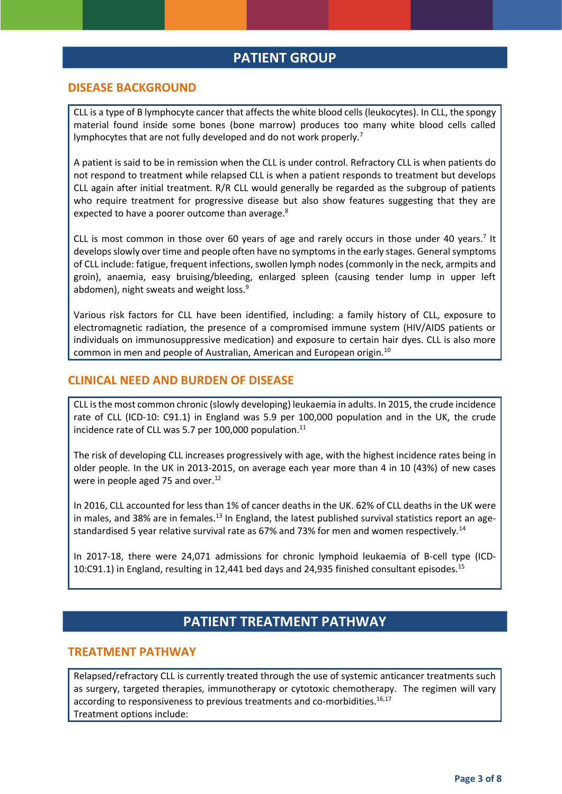## **PATIENT GROUP**

#### **DISEASE BACKGROUND**

CLL is a type of B lymphocyte cancer that affects the white blood cells (leukocytes). In CLL, the spongy material found inside some bones (bone marrow) produces too many white blood cells called lymphocytes that are not fully developed and do not work properly.<sup>7</sup>

A patient is said to be in remission when the CLL is under control. Refractory CLL is when patients do not respond to treatment while relapsed CLL is when a patient responds to treatment but develops CLL again after initial treatment. R/R CLL would generally be regarded as the subgroup of patients who require treatment for progressive disease but also show features suggesting that they are expected to have a poorer outcome than average.<sup>8</sup>

CLL is most common in those over 60 years of age and rarely occurs in those under 40 years.<sup>7</sup> It develops slowly over time and people often have no symptoms in the early stages. General symptoms of CLL include: fatigue, frequent infections, swollen lymph nodes (commonly in the neck, armpits and groin), anaemia, easy bruising/bleeding, enlarged spleen (causing tender lump in upper left abdomen), night sweats and weight loss.<sup>9</sup>

Various risk factors for CLL have been identified, including: a family history of CLL, exposure to electromagnetic radiation, the presence of a compromised immune system (HIV/AIDS patients or individuals on immunosuppressive medication) and exposure to certain hair dyes. CLL is also more common in men and people of Australian, American and European origin.<sup>10</sup>

#### **CLINICAL NEED AND BURDEN OF DISEASE**

CLL is the most common chronic (slowly developing) leukaemia in adults. In 2015, the crude incidence rate of CLL (ICD-10: C91.1) in England was 5.9 per 100,000 population and in the UK, the crude incidence rate of CLL was 5.7 per 100,000 population.<sup>11</sup>

The risk of developing CLL increases progressively with age, with the highest incidence rates being in older people. In the UK in 2013-2015, on average each year more than 4 in 10 (43%) of new cases were in people aged 75 and over.<sup>12</sup>

In 2016, CLL accounted for less than 1% of cancer deaths in the UK. 62% of CLL deaths in the UK were in males, and 38% are in females.<sup>13</sup> In England, the latest published survival statistics report an agestandardised 5 year relative survival rate as 67% and 73% for men and women respectively.<sup>14</sup>

In 2017-18, there were 24,071 admissions for chronic lymphoid leukaemia of B-cell type (ICD-10:C91.1) in England, resulting in 12,441 bed days and 24,935 finished consultant episodes.<sup>15</sup>

## **PATIENT TREATMENT PATHWAY**

#### **TREATMENT PATHWAY**

Relapsed/refractory CLL is currently treated through the use of systemic anticancer treatments such as surgery, targeted therapies, immunotherapy or cytotoxic chemotherapy. The regimen will vary according to responsiveness to previous treatments and co-morbidities.<sup>16,17</sup> Treatment options include: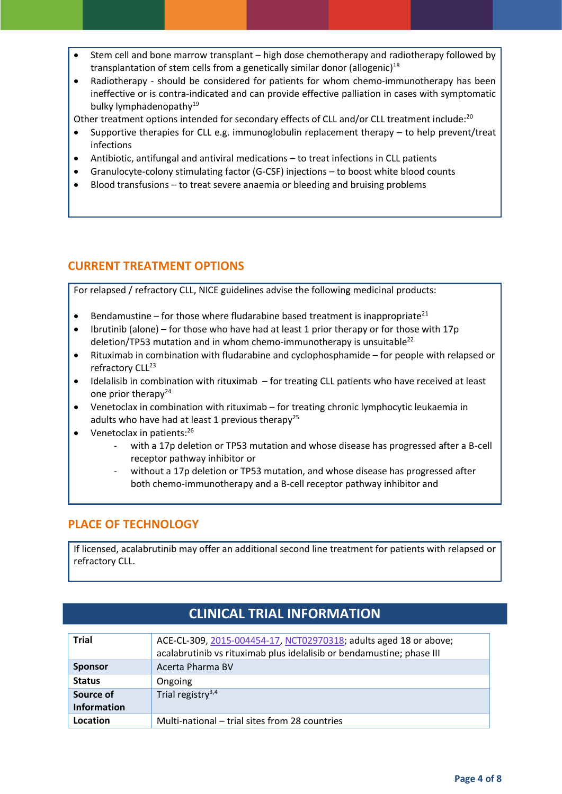- Stem cell and bone marrow transplant high dose chemotherapy and radiotherapy followed by transplantation of stem cells from a genetically similar donor (allogenic)<sup>18</sup>
- Radiotherapy should be considered for patients for whom chemo-immunotherapy has been ineffective or is contra-indicated and can provide effective palliation in cases with symptomatic bulky lymphadenopathy 19

Other treatment options intended for secondary effects of CLL and/or CLL treatment include:<sup>20</sup>

- Supportive therapies for CLL e.g. immunoglobulin replacement therapy to help prevent/treat infections
- Antibiotic, antifungal and antiviral medications to treat infections in CLL patients
- Granulocyte-colony stimulating factor (G-CSF) injections to boost white blood counts
- Blood transfusions to treat severe anaemia or bleeding and bruising problems

#### **CURRENT TREATMENT OPTIONS**

For relapsed / refractory CLL, NICE guidelines advise the following medicinal products:

- **Bendamustine for those where fludarabine based treatment is inappropriate**<sup>21</sup>
- Ibrutinib (alone) for those who have had at least 1 prior therapy or for those with 17p deletion/TP53 mutation and in whom chemo-immunotherapy is unsuitable $^{22}$
- Rituximab in combination with fludarabine and cyclophosphamide for people with relapsed or refractory CLL<sup>23</sup>
- Idelalisib in combination with rituximab for treating CLL patients who have received at least one prior therapy<sup>24</sup>
- Venetoclax in combination with rituximab for treating chronic lymphocytic leukaemia in adults who have had at least 1 previous therapy<sup>25</sup>
- Venetoclax in patients: $26$ 
	- with a 17p deletion or TP53 mutation and whose disease has progressed after a B-cell receptor pathway inhibitor or
	- without a 17p deletion or TP53 mutation, and whose disease has progressed after both chemo-immunotherapy and a B-cell receptor pathway inhibitor and

#### **PLACE OF TECHNOLOGY**

If licensed, acalabrutinib may offer an additional second line treatment for patients with relapsed or refractory CLL.

| <b>Trial</b>                    | ACE-CL-309, 2015-004454-17, NCT02970318; adults aged 18 or above;<br>acalabrutinib vs rituximab plus idelalisib or bendamustine; phase III |
|---------------------------------|--------------------------------------------------------------------------------------------------------------------------------------------|
| <b>Sponsor</b>                  | Acerta Pharma BV                                                                                                                           |
| <b>Status</b>                   | Ongoing                                                                                                                                    |
| Source of<br><b>Information</b> | Trial registry $3,4$                                                                                                                       |
| Location                        | Multi-national - trial sites from 28 countries                                                                                             |

## **CLINICAL TRIAL INFORMATION**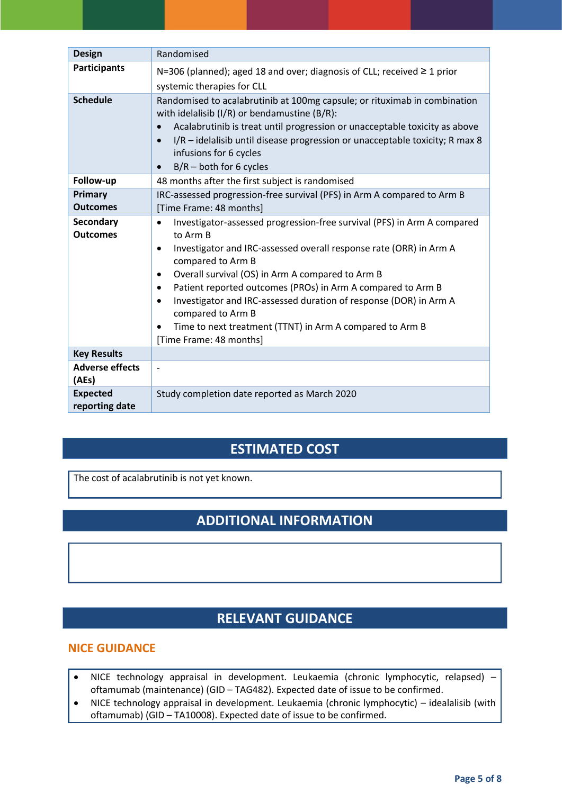| <b>Design</b>                     | Randomised                                                                                                                                                                                                                                                                                                                                                                                                                                                                                                                                          |
|-----------------------------------|-----------------------------------------------------------------------------------------------------------------------------------------------------------------------------------------------------------------------------------------------------------------------------------------------------------------------------------------------------------------------------------------------------------------------------------------------------------------------------------------------------------------------------------------------------|
| <b>Participants</b>               | N=306 (planned); aged 18 and over; diagnosis of CLL; received $\geq$ 1 prior<br>systemic therapies for CLL                                                                                                                                                                                                                                                                                                                                                                                                                                          |
| <b>Schedule</b>                   | Randomised to acalabrutinib at 100mg capsule; or rituximab in combination<br>with idelalisib (I/R) or bendamustine (B/R):<br>Acalabrutinib is treat until progression or unacceptable toxicity as above<br>$\bullet$<br>I/R - idelalisib until disease progression or unacceptable toxicity; R max 8<br>$\bullet$<br>infusions for 6 cycles<br>$B/R$ – both for 6 cycles<br>$\bullet$                                                                                                                                                               |
| Follow-up                         | 48 months after the first subject is randomised                                                                                                                                                                                                                                                                                                                                                                                                                                                                                                     |
| Primary<br><b>Outcomes</b>        | IRC-assessed progression-free survival (PFS) in Arm A compared to Arm B<br>[Time Frame: 48 months]                                                                                                                                                                                                                                                                                                                                                                                                                                                  |
| Secondary<br><b>Outcomes</b>      | Investigator-assessed progression-free survival (PFS) in Arm A compared<br>$\bullet$<br>to Arm B<br>Investigator and IRC-assessed overall response rate (ORR) in Arm A<br>$\bullet$<br>compared to Arm B<br>Overall survival (OS) in Arm A compared to Arm B<br>$\bullet$<br>Patient reported outcomes (PROs) in Arm A compared to Arm B<br>$\bullet$<br>Investigator and IRC-assessed duration of response (DOR) in Arm A<br>$\bullet$<br>compared to Arm B<br>Time to next treatment (TTNT) in Arm A compared to Arm B<br>[Time Frame: 48 months] |
| <b>Key Results</b>                |                                                                                                                                                                                                                                                                                                                                                                                                                                                                                                                                                     |
| <b>Adverse effects</b><br>(AEs)   | $\blacksquare$                                                                                                                                                                                                                                                                                                                                                                                                                                                                                                                                      |
| <b>Expected</b><br>reporting date | Study completion date reported as March 2020                                                                                                                                                                                                                                                                                                                                                                                                                                                                                                        |

## **ESTIMATED COST**

The cost of acalabrutinib is not yet known.

# **ADDITIONAL INFORMATION**

## **RELEVANT GUIDANCE**

#### **NICE GUIDANCE**

- NICE technology appraisal in development. Leukaemia (chronic lymphocytic, relapsed) oftamumab (maintenance) (GID – TAG482). Expected date of issue to be confirmed.
- NICE technology appraisal in development. Leukaemia (chronic lymphocytic) idealalisib (with oftamumab) (GID – TA10008). Expected date of issue to be confirmed.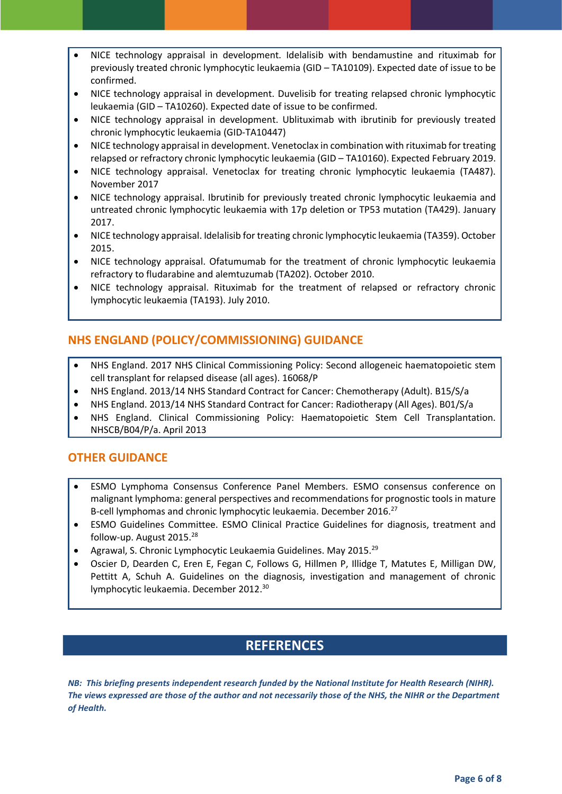- NICE technology appraisal in development. Idelalisib with bendamustine and rituximab for previously treated chronic lymphocytic leukaemia (GID – TA10109). Expected date of issue to be confirmed.
- NICE technology appraisal in development. Duvelisib for treating relapsed chronic lymphocytic leukaemia (GID – TA10260). Expected date of issue to be confirmed.
- NICE technology appraisal in development. Ublituximab with ibrutinib for previously treated chronic lymphocytic leukaemia (GID-TA10447)
- NICE technology appraisal in development. Venetoclax in combination with rituximab for treating relapsed or refractory chronic lymphocytic leukaemia (GID – TA10160). Expected February 2019.
- NICE technology appraisal. Venetoclax for treating chronic lymphocytic leukaemia (TA487). November 2017
- NICE technology appraisal. Ibrutinib for previously treated chronic lymphocytic leukaemia and untreated chronic lymphocytic leukaemia with 17p deletion or TP53 mutation (TA429). January 2017.
- NICE technology appraisal. Idelalisib for treating chronic lymphocytic leukaemia (TA359). October 2015.
- NICE technology appraisal. Ofatumumab for the treatment of chronic lymphocytic leukaemia refractory to fludarabine and alemtuzumab (TA202). October 2010.
- NICE technology appraisal. Rituximab for the treatment of relapsed or refractory chronic lymphocytic leukaemia (TA193). July 2010.

## **NHS ENGLAND (POLICY/COMMISSIONING) GUIDANCE**

- NHS England. 2017 NHS Clinical Commissioning Policy: Second allogeneic haematopoietic stem cell transplant for relapsed disease (all ages). 16068/P
- NHS England. 2013/14 NHS Standard Contract for Cancer: Chemotherapy (Adult). B15/S/a
- NHS England. 2013/14 NHS Standard Contract for Cancer: Radiotherapy (All Ages). B01/S/a
- NHS England. Clinical Commissioning Policy: Haematopoietic Stem Cell Transplantation. NHSCB/B04/P/a. April 2013

### **OTHER GUIDANCE**

- ESMO Lymphoma Consensus Conference Panel Members. ESMO consensus conference on malignant lymphoma: general perspectives and recommendations for prognostic tools in mature B-cell lymphomas and chronic lymphocytic leukaemia. December 2016.<sup>27</sup>
- ESMO Guidelines Committee. ESMO Clinical Practice Guidelines for diagnosis, treatment and follow-up. August 2015.<sup>28</sup>
- Agrawal, S. Chronic Lymphocytic Leukaemia Guidelines. May 2015.<sup>29</sup>
- Oscier D, Dearden C, Eren E, Fegan C, Follows G, Hillmen P, Illidge T, Matutes E, Milligan DW, Pettitt A, Schuh A. Guidelines on the diagnosis, investigation and management of chronic lymphocytic leukaemia. December 2012.<sup>30</sup>

## **REFERENCES**

*NB: This briefing presents independent research funded by the National Institute for Health Research (NIHR). The views expressed are those of the author and not necessarily those of the NHS, the NIHR or the Department of Health.*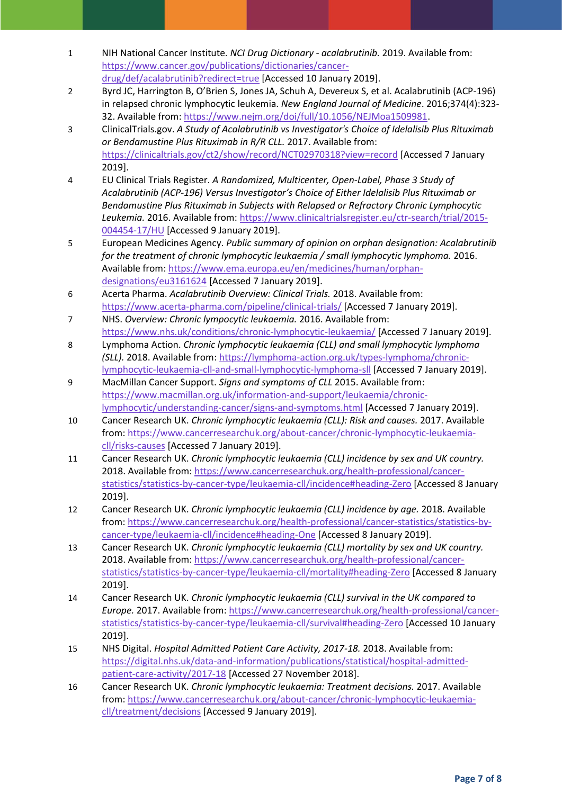- 1 NIH National Cancer Institute. *NCI Drug Dictionary - acalabrutinib.* 2019. Available from: [https://www.cancer.gov/publications/dictionaries/cancer](https://www.cancer.gov/publications/dictionaries/cancer-drug/def/acalabrutinib?redirect=true)[drug/def/acalabrutinib?redirect=true](https://www.cancer.gov/publications/dictionaries/cancer-drug/def/acalabrutinib?redirect=true) [Accessed 10 January 2019].
- 2 Byrd JC, Harrington B, O'Brien S, Jones JA, Schuh A, Devereux S, et al. Acalabrutinib (ACP-196) in relapsed chronic lymphocytic leukemia. *New England Journal of Medicine*. 2016;374(4):323- 32. Available from: [https://www.nejm.org/doi/full/10.1056/NEJMoa1509981.](https://www.nejm.org/doi/full/10.1056/NEJMoa1509981)
- 3 ClinicalTrials.gov. *A Study of Acalabrutinib vs Investigator's Choice of Idelalisib Plus Rituximab or Bendamustine Plus Rituximab in R/R CLL.* 2017. Available from: <https://clinicaltrials.gov/ct2/show/record/NCT02970318?view=record> [Accessed 7 January 2019].
- 4 EU Clinical Trials Register. *A Randomized, Multicenter, Open-Label, Phase 3 Study of Acalabrutinib (ACP-196) Versus Investigator's Choice of Either Idelalisib Plus Rituximab or Bendamustine Plus Rituximab in Subjects with Relapsed or Refractory Chronic Lymphocytic Leukemia.* 2016. Available from: [https://www.clinicaltrialsregister.eu/ctr-search/trial/2015-](https://www.clinicaltrialsregister.eu/ctr-search/trial/2015-004454-17/HU) [004454-17/HU](https://www.clinicaltrialsregister.eu/ctr-search/trial/2015-004454-17/HU) [Accessed 9 January 2019].
- 5 European Medicines Agency. *Public summary of opinion on orphan designation: Acalabrutinib for the treatment of chronic lymphocytic leukaemia / small lymphocytic lymphoma.* 2016. Available from: [https://www.ema.europa.eu/en/medicines/human/orphan](https://www.ema.europa.eu/en/medicines/human/orphan-designations/eu3161624)[designations/eu3161624](https://www.ema.europa.eu/en/medicines/human/orphan-designations/eu3161624) [Accessed 7 January 2019].
- 6 Acerta Pharma. *Acalabrutinib Overview: Clinical Trials.* 2018. Available from: <https://www.acerta-pharma.com/pipeline/clinical-trials/> [Accessed 7 January 2019].
- 7 NHS. *Overview: Chronic lympocytic leukaemia.* 2016. Available from: <https://www.nhs.uk/conditions/chronic-lymphocytic-leukaemia/> [Accessed 7 January 2019].
- 8 Lymphoma Action. *Chronic lymphocytic leukaemia (CLL) and small lymphocytic lymphoma (SLL).* 2018. Available from: [https://lymphoma-action.org.uk/types-lymphoma/chronic](https://lymphoma-action.org.uk/types-lymphoma/chronic-lymphocytic-leukaemia-cll-and-small-lymphocytic-lymphoma-sll)[lymphocytic-leukaemia-cll-and-small-lymphocytic-lymphoma-sll](https://lymphoma-action.org.uk/types-lymphoma/chronic-lymphocytic-leukaemia-cll-and-small-lymphocytic-lymphoma-sll) [Accessed 7 January 2019].
- 9 MacMillan Cancer Support. *Signs and symptoms of CLL* 2015. Available from: [https://www.macmillan.org.uk/information-and-support/leukaemia/chronic](https://www.macmillan.org.uk/information-and-support/leukaemia/chronic-lymphocytic/understanding-cancer/signs-and-symptoms.html)[lymphocytic/understanding-cancer/signs-and-symptoms.html](https://www.macmillan.org.uk/information-and-support/leukaemia/chronic-lymphocytic/understanding-cancer/signs-and-symptoms.html) [Accessed 7 January 2019].
- 10 Cancer Research UK. *Chronic lymphocytic leukaemia (CLL): Risk and causes.* 2017. Available from: [https://www.cancerresearchuk.org/about-cancer/chronic-lymphocytic-leukaemia](https://www.cancerresearchuk.org/about-cancer/chronic-lymphocytic-leukaemia-cll/risks-causes)[cll/risks-causes](https://www.cancerresearchuk.org/about-cancer/chronic-lymphocytic-leukaemia-cll/risks-causes) [Accessed 7 January 2019].
- 11 Cancer Research UK. *Chronic lymphocytic leukaemia (CLL) incidence by sex and UK country.* 2018. Available from: [https://www.cancerresearchuk.org/health-professional/cancer](https://www.cancerresearchuk.org/health-professional/cancer-statistics/statistics-by-cancer-type/leukaemia-cll/incidence#heading-Zero)[statistics/statistics-by-cancer-type/leukaemia-cll/incidence#heading-Zero](https://www.cancerresearchuk.org/health-professional/cancer-statistics/statistics-by-cancer-type/leukaemia-cll/incidence#heading-Zero) [Accessed 8 January 2019].
- 12 Cancer Research UK. *Chronic lymphocytic leukaemia (CLL) incidence by age.* 2018. Available from: [https://www.cancerresearchuk.org/health-professional/cancer-statistics/statistics-by](https://www.cancerresearchuk.org/health-professional/cancer-statistics/statistics-by-cancer-type/leukaemia-cll/incidence#heading-One)[cancer-type/leukaemia-cll/incidence#heading-One](https://www.cancerresearchuk.org/health-professional/cancer-statistics/statistics-by-cancer-type/leukaemia-cll/incidence#heading-One) [Accessed 8 January 2019].
- 13 Cancer Research UK. *Chronic lymphocytic leukaemia (CLL) mortality by sex and UK country.* 2018. Available from: [https://www.cancerresearchuk.org/health-professional/cancer](https://www.cancerresearchuk.org/health-professional/cancer-statistics/statistics-by-cancer-type/leukaemia-cll/mortality#heading-Zero)[statistics/statistics-by-cancer-type/leukaemia-cll/mortality#heading-Zero](https://www.cancerresearchuk.org/health-professional/cancer-statistics/statistics-by-cancer-type/leukaemia-cll/mortality#heading-Zero) [Accessed 8 January 2019].
- 14 Cancer Research UK. *Chronic lymphocytic leukaemia (CLL) survival in the UK compared to Europe.* 2017. Available from[: https://www.cancerresearchuk.org/health-professional/cancer](https://www.cancerresearchuk.org/health-professional/cancer-statistics/statistics-by-cancer-type/leukaemia-cll/survival#heading-Zero)[statistics/statistics-by-cancer-type/leukaemia-cll/survival#heading-Zero](https://www.cancerresearchuk.org/health-professional/cancer-statistics/statistics-by-cancer-type/leukaemia-cll/survival#heading-Zero) [Accessed 10 January 2019].
- 15 NHS Digital. *Hospital Admitted Patient Care Activity, 2017-18.* 2018. Available from: [https://digital.nhs.uk/data-and-information/publications/statistical/hospital-admitted](https://digital.nhs.uk/data-and-information/publications/statistical/hospital-admitted-patient-care-activity/2017-18)[patient-care-activity/2017-18](https://digital.nhs.uk/data-and-information/publications/statistical/hospital-admitted-patient-care-activity/2017-18) [Accessed 27 November 2018].
- 16 Cancer Research UK. *Chronic lymphocytic leukaemia: Treatment decisions.* 2017. Available from: [https://www.cancerresearchuk.org/about-cancer/chronic-lymphocytic-leukaemia](https://www.cancerresearchuk.org/about-cancer/chronic-lymphocytic-leukaemia-cll/treatment/decisions)[cll/treatment/decisions](https://www.cancerresearchuk.org/about-cancer/chronic-lymphocytic-leukaemia-cll/treatment/decisions) [Accessed 9 January 2019].